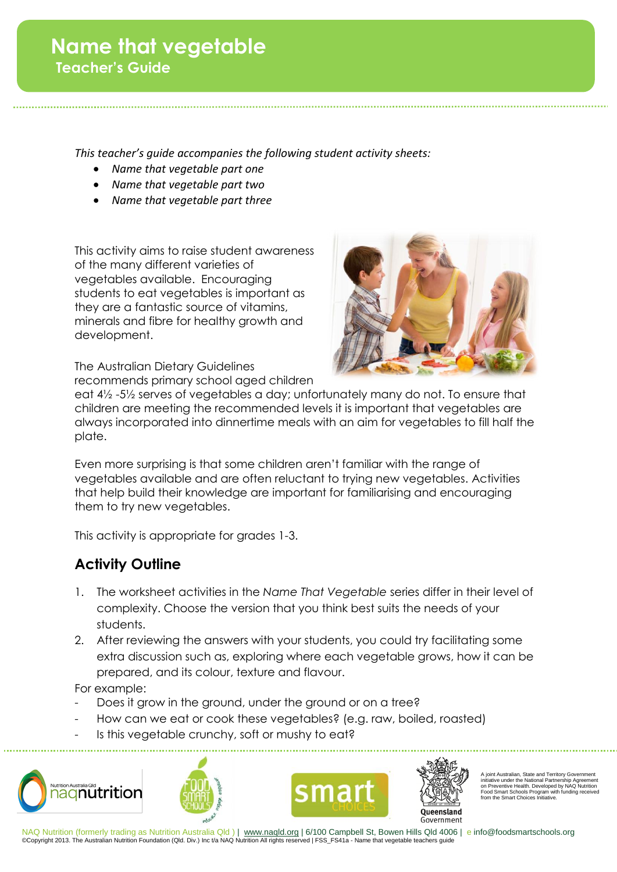*This teacher's guide accompanies the following student activity sheets:*

- *Name that vegetable part one*
- *Name that vegetable part two*
- *Name that vegetable part three*

This activity aims to raise student awareness of the many different varieties of vegetables available. Encouraging students to eat vegetables is important as they are a fantastic source of vitamins, minerals and fibre for healthy growth and development.



The Australian Dietary Guidelines recommends primary school aged children

eat 4½ -5½ serves of vegetables a day; unfortunately many do not. To ensure that children are meeting the recommended levels it is important that vegetables are always incorporated into dinnertime meals with an aim for vegetables to fill half the plate.

Even more surprising is that some children aren't familiar with the range of vegetables available and are often reluctant to trying new vegetables. Activities that help build their knowledge are important for familiarising and encouraging them to try new vegetables.

This activity is appropriate for grades 1-3.

## **Activity Outline**

- 1. The worksheet activities in the *Name That Vegetable* series differ in their level of complexity. Choose the version that you think best suits the needs of your students.
- 2. After reviewing the answers with your students, you could try facilitating some extra discussion such as, exploring where each vegetable grows, how it can be prepared, and its colour, texture and flavour.

For example:

- Does it grow in the ground, under the ground or on a tree?
- How can we eat or cook these vegetables? (e.g. raw, boiled, roasted)
- Is this vegetable crunchy, soft or mushy to eat?









A joint Australian, State and Territory Government initiative under the National Partnership Agreement on Preventive Health. Developed by NAQ Nutrition Food Smart Schools Program with funding received from the Smart Choices Initiative.

NAQ Nutrition (formerly trading as Nutrition Australia Qld ) | www.naqld.org | 6/100 Campbell St, Bowen Hills Qld 4006 | e info@foodsmartschools.org ©Copyright 2013. The Australian Nutrition Foundation (Qld. Div.) Inc t/a NAQ Nutrition All rights reserved | FSS\_FS41a - Name that vegetable teachers guide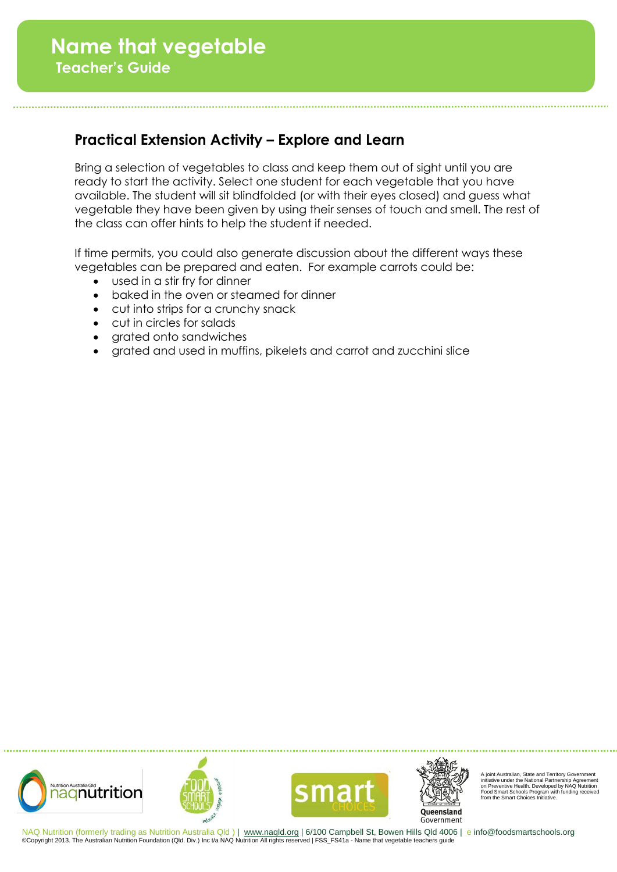## **Practical Extension Activity – Explore and Learn**

Bring a selection of vegetables to class and keep them out of sight until you are ready to start the activity. Select one student for each vegetable that you have available. The student will sit blindfolded (or with their eyes closed) and guess what vegetable they have been given by using their senses of touch and smell. The rest of the class can offer hints to help the student if needed.

If time permits, you could also generate discussion about the different ways these vegetables can be prepared and eaten. For example carrots could be:

- used in a stir fry for dinner
- baked in the oven or steamed for dinner
- cut into strips for a crunchy snack
- cut in circles for salads
- grated onto sandwiches
- grated and used in muffins, pikelets and carrot and zucchini slice









A joint Australian, State and Territory Government initiative under the National Partnership Agreement on Preventive Health. Developed by NAQ Nutrition Food Smart Schools Program with funding received from the Smart Choices Initiative.

NAQ Nutrition (formerly trading as Nutrition Australia Qld ) | www.naqld.org | 6/100 Campbell St, Bowen Hills Qld 4006 | e info@foodsmartschools.org ©Copyright 2013. The Australian Nutrition Foundation (Qld. Div.) Inc t/a NAQ Nutrition All rights reserved | FSS\_FS41a - Name that vegetable teachers guide